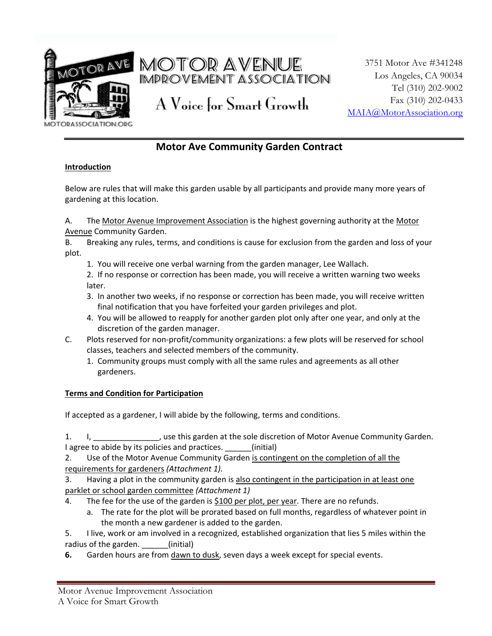

AOTOR AVE MOTOR AVENUE IMPROVEMENT ASSOCIATION

A Voice for Smart Growth

3751 Motor Ave #341248 Los Angeles, CA 90034 Tel (310) 202-9002 Fax (310) 202-0433 [MAIA@MotorAssociation.org](mailto:MAIA@MotorAssociation.org)

**DRASSOCIATION.ORG** 

# **Motor Ave Community Garden Contract**

### **Introduction**

Below are rules that will make this garden usable by all participants and provide many more years of gardening at this location.

A. The Motor Avenue Improvement Association is the highest governing authority at the Motor Avenue Community Garden.

B. Breaking any rules, terms, and conditions is cause for exclusion from the garden and loss of your plot.

1. You will receive one verbal warning from the garden manager, Lee Wallach.

2. If no response or correction has been made, you will receive a written warning two weeks later.

- 3. In another two weeks, if no response or correction has been made, you will receive written final notification that you have forfeited your garden privileges and plot.
- 4. You will be allowed to reapply for another garden plot only after one year, and only at the discretion of the garden manager.
- C. Plots reserved for non-profit/community organizations: a few plots will be reserved for school classes, teachers and selected members of the community.
	- 1. Community groups must comply with all the same rules and agreements as all other gardeners.

### **Terms and Condition for Participation**

If accepted as a gardener, I will abide by the following, terms and conditions.

1. I, \_\_\_\_\_\_\_\_\_\_\_\_\_\_, use this garden at the sole discretion of Motor Avenue Community Garden. I agree to abide by its policies and practices. \_\_\_\_\_\_(initial)

2. Use of the Motor Avenue Community Garden is contingent on the completion of all the requirements for gardeners *(Attachment 1).*

3. Having a plot in the community garden is also contingent in the participation in at least one parklet or school garden committee *(Attachment 1)*

- 4. The fee for the use of the garden is \$100 per plot, per year. There are no refunds.
	- a. The rate for the plot will be prorated based on full months, regardless of whatever point in the month a new gardener is added to the garden.

5. I live, work or am involved in a recognized, established organization that lies 5 miles within the radius of the garden. (initial)

**6.** Garden hours are from dawn to dusk, seven days a week except for special events.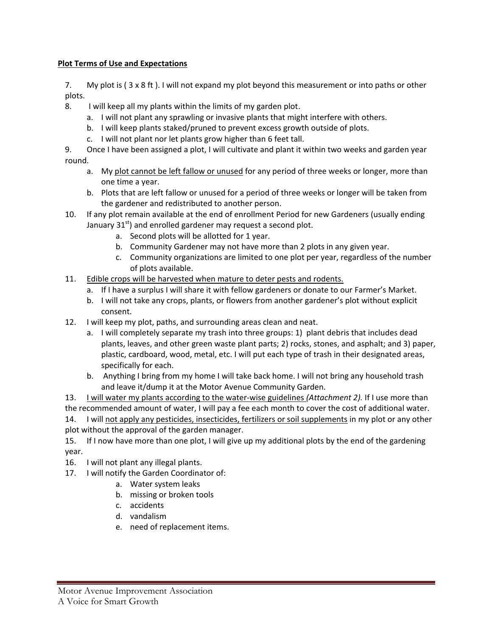### **Plot Terms of Use and Expectations**

7. My plot is ( 3 x 8 ft ). I will not expand my plot beyond this measurement or into paths or other plots.

- 8. I will keep all my plants within the limits of my garden plot.
	- a. I will not plant any sprawling or invasive plants that might interfere with others.
	- b. I will keep plants staked/pruned to prevent excess growth outside of plots.
	- c. I will not plant nor let plants grow higher than 6 feet tall.
- 9. Once I have been assigned a plot, I will cultivate and plant it within two weeks and garden year round.
	- a. My plot cannot be left fallow or unused for any period of three weeks or longer, more than one time a year.
	- b. Plots that are left fallow or unused for a period of three weeks or longer will be taken from the gardener and redistributed to another person.
- 10. If any plot remain available at the end of enrollment Period for new Gardeners (usually ending January  $31<sup>st</sup>$ ) and enrolled gardener may request a second plot.
	- a. Second plots will be allotted for 1 year.
	- b. Community Gardener may not have more than 2 plots in any given year.
	- c. Community organizations are limited to one plot per year, regardless of the number of plots available.
- 11. Edible crops will be harvested when mature to deter pests and rodents.
	- a. If I have a surplus I will share it with fellow gardeners or donate to our Farmer's Market.
	- b. I will not take any crops, plants, or flowers from another gardener's plot without explicit consent.
- 12. I will keep my plot, paths, and surrounding areas clean and neat.
	- a. I will completely separate my trash into three groups: 1) plant debris that includes dead plants, leaves, and other green waste plant parts; 2) rocks, stones, and asphalt; and 3) paper, plastic, cardboard, wood, metal, etc. I will put each type of trash in their designated areas, specifically for each.
	- b. Anything I bring from my home I will take back home. I will not bring any household trash and leave it/dump it at the Motor Avenue Community Garden.

13. I will water my plants according to the water-wise guidelines *(Attachment 2).* If I use more than the recommended amount of water, I will pay a fee each month to cover the cost of additional water. 14. I will not apply any pesticides, insecticides, fertilizers or soil supplements in my plot or any other plot without the approval of the garden manager.

15. If I now have more than one plot, I will give up my additional plots by the end of the gardening year.

16. I will not plant any illegal plants.

- 17. I will notify the Garden Coordinator of:
	- a. Water system leaks
	- b. missing or broken tools
	- c. accidents
	- d. vandalism
	- e. need of replacement items.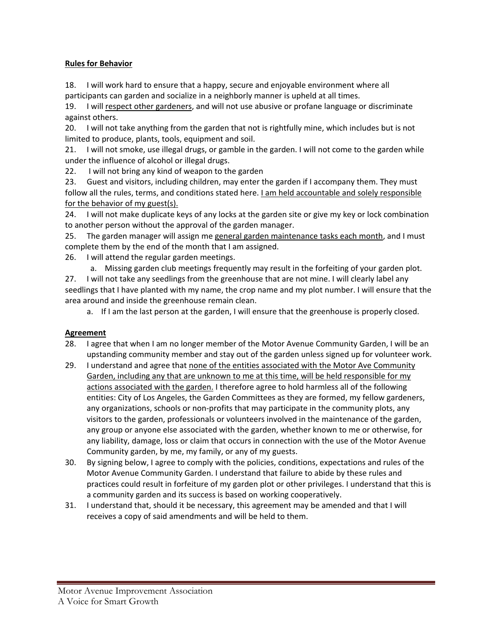### **Rules for Behavior**

18. I will work hard to ensure that a happy, secure and enjoyable environment where all participants can garden and socialize in a neighborly manner is upheld at all times.

19. I will respect other gardeners, and will not use abusive or profane language or discriminate against others.

20. I will not take anything from the garden that not is rightfully mine, which includes but is not limited to produce, plants, tools, equipment and soil.

21. I will not smoke, use illegal drugs, or gamble in the garden. I will not come to the garden while under the influence of alcohol or illegal drugs.

22. I will not bring any kind of weapon to the garden

23. Guest and visitors, including children, may enter the garden if I accompany them. They must follow all the rules, terms, and conditions stated here. Lam held accountable and solely responsible for the behavior of my guest(s).

24. I will not make duplicate keys of any locks at the garden site or give my key or lock combination to another person without the approval of the garden manager.

25. The garden manager will assign me general garden maintenance tasks each month, and I must complete them by the end of the month that I am assigned.

26. I will attend the regular garden meetings.

a. Missing garden club meetings frequently may result in the forfeiting of your garden plot.

27. I will not take any seedlings from the greenhouse that are not mine. I will clearly label any seedlings that I have planted with my name, the crop name and my plot number. I will ensure that the area around and inside the greenhouse remain clean.

a. If I am the last person at the garden, I will ensure that the greenhouse is properly closed.

### **Agreement**

- 28. I agree that when I am no longer member of the Motor Avenue Community Garden, I will be an upstanding community member and stay out of the garden unless signed up for volunteer work.
- 29. I understand and agree that none of the entities associated with the Motor Ave Community Garden, including any that are unknown to me at this time, will be held responsible for my actions associated with the garden. I therefore agree to hold harmless all of the following entities: City of Los Angeles, the Garden Committees as they are formed, my fellow gardeners, any organizations, schools or non-profits that may participate in the community plots, any visitors to the garden, professionals or volunteers involved in the maintenance of the garden, any group or anyone else associated with the garden, whether known to me or otherwise, for any liability, damage, loss or claim that occurs in connection with the use of the Motor Avenue Community garden, by me, my family, or any of my guests.
- 30. By signing below, I agree to comply with the policies, conditions, expectations and rules of the Motor Avenue Community Garden. I understand that failure to abide by these rules and practices could result in forfeiture of my garden plot or other privileges. I understand that this is a community garden and its success is based on working cooperatively.
- 31. I understand that, should it be necessary, this agreement may be amended and that I will receives a copy of said amendments and will be held to them.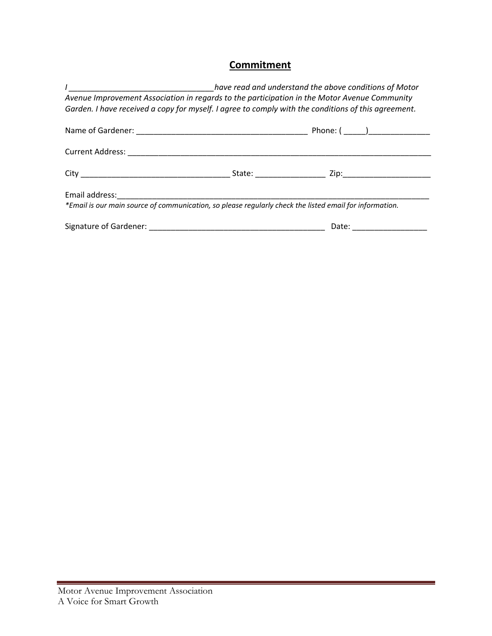# **Commitment**

|                                                                                                         | have read and understand the above conditions of Motor |                  |  |
|---------------------------------------------------------------------------------------------------------|--------------------------------------------------------|------------------|--|
| Avenue Improvement Association in regards to the participation in the Motor Avenue Community            |                                                        |                  |  |
| Garden. I have received a copy for myself. I agree to comply with the conditions of this agreement.     |                                                        |                  |  |
|                                                                                                         |                                                        |                  |  |
|                                                                                                         |                                                        |                  |  |
|                                                                                                         |                                                        | State: Zip: Zip: |  |
|                                                                                                         |                                                        |                  |  |
| *Email is our main source of communication, so please regularly check the listed email for information. |                                                        |                  |  |
|                                                                                                         |                                                        | Date:            |  |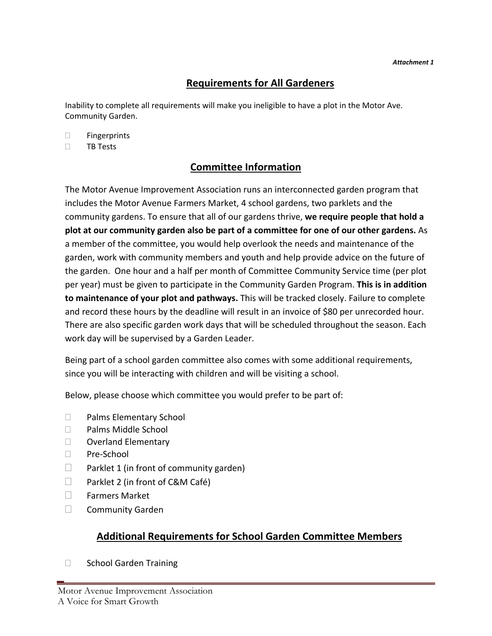# **Requirements for All Gardeners**

Inability to complete all requirements will make you ineligible to have a plot in the Motor Ave. Community Garden.

□ Fingerprints

 $\Box$  TB Tests

# **Committee Information**

The Motor Avenue Improvement Association runs an interconnected garden program that includes the Motor Avenue Farmers Market, 4 school gardens, two parklets and the community gardens. To ensure that all of our gardens thrive, **we require people that hold a plot at our community garden also be part of a committee for one of our other gardens.** As a member of the committee, you would help overlook the needs and maintenance of the garden, work with community members and youth and help provide advice on the future of the garden. One hour and a half per month of Committee Community Service time (per plot per year) must be given to participate in the Community Garden Program. **This is in addition to maintenance of your plot and pathways.** This will be tracked closely. Failure to complete and record these hours by the deadline will result in an invoice of \$80 per unrecorded hour. There are also specific garden work days that will be scheduled throughout the season. Each work day will be supervised by a Garden Leader.

Being part of a school garden committee also comes with some additional requirements, since you will be interacting with children and will be visiting a school.

Below, please choose which committee you would prefer to be part of:

- □ Palms Elementary School
- □ Palms Middle School
- D Overland Elementary
- □ Pre-School
- $\Box$  Parklet 1 (in front of community garden)
- $\Box$  Parklet 2 (in front of C&M Café)
- Farmers Market
- **Community Garden**

# **Additional Requirements for School Garden Committee Members**

□ School Garden Training